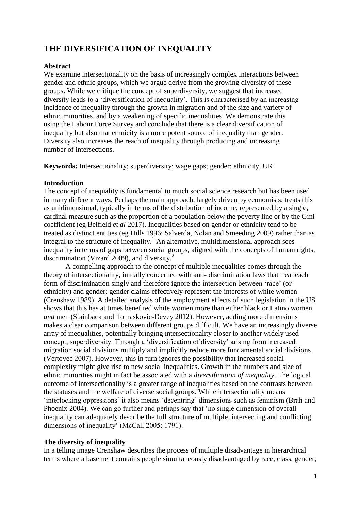# **THE DIVERSIFICATION OF INEQUALITY**

# **Abstract**

We examine intersectionality on the basis of increasingly complex interactions between gender and ethnic groups, which we argue derive from the growing diversity of these groups. While we critique the concept of superdiversity, we suggest that increased diversity leads to a 'diversification of inequality'. This is characterised by an increasing incidence of inequality through the growth in migration and of the size and variety of ethnic minorities, and by a weakening of specific inequalities. We demonstrate this using the Labour Force Survey and conclude that there is a clear diversification of inequality but also that ethnicity is a more potent source of inequality than gender. Diversity also increases the reach of inequality through producing and increasing number of intersections.

**Keywords:** Intersectionality; superdiversity; wage gaps; gender; ethnicity, UK

# **Introduction**

The concept of inequality is fundamental to much social science research but has been used in many different ways. Perhaps the main approach, largely driven by economists, treats this as unidimensional, typically in terms of the distribution of income, represented by a single, cardinal measure such as the proportion of a population below the poverty line or by the Gini coefficient (eg Belfield *et al* 2017). Inequalities based on gender or ethnicity tend to be treated as distinct entities (eg Hills 1996; Salverda, Nolan and Smeeding 2009) rather than as integral to the structure of inequality. <sup>1</sup> An alternative, multidimensional approach sees inequality in terms of gaps between social groups, aligned with the concepts of human rights, discrimination (Vizard 2009), and diversity.<sup>2</sup>

A compelling approach to the concept of multiple inequalities comes through the theory of intersectionality, initially concerned with anti- discrimination laws that treat each form of discrimination singly and therefore ignore the intersection between 'race' (or ethnicity) and gender; gender claims effectively represent the interests of white women (Crenshaw 1989). A detailed analysis of the employment effects of such legislation in the US shows that this has at times benefited white women more than either black or Latino women *and* men (Stainback and Tomaskovic-Devey 2012). However, adding more dimensions makes a clear comparison between different groups difficult. We have an increasingly diverse array of inequalities, potentially bringing intersectionality closer to another widely used concept, superdiversity. Through a 'diversification of diversity' arising from increased migration social divisions multiply and implicitly reduce more fundamental social divisions (Vertovec 2007). However, this in turn ignores the possibility that increased social complexity might give rise to new social inequalities. Growth in the numbers and size of ethnic minorities might in fact be associated with a *diversification of inequality*. The logical outcome of intersectionality is a greater range of inequalities based on the contrasts between the statuses and the welfare of diverse social groups. While intersectionality means 'interlocking oppressions' it also means 'decentring' dimensions such as feminism (Brah and Phoenix 2004). We can go further and perhaps say that 'no single dimension of overall inequality can adequately describe the full structure of multiple, intersecting and conflicting dimensions of inequality' (McCall 2005: 1791).

# **The diversity of inequality**

In a telling image Crenshaw describes the process of multiple disadvantage in hierarchical terms where a basement contains people simultaneously disadvantaged by race, class, gender,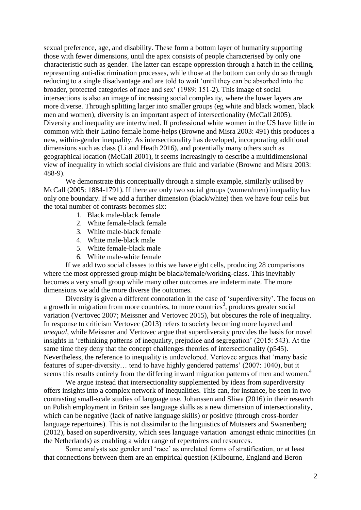sexual preference, age, and disability. These form a bottom layer of humanity supporting those with fewer dimensions, until the apex consists of people characterised by only one characteristic such as gender. The latter can escape oppression through a hatch in the ceiling, representing anti-discrimination processes, while those at the bottom can only do so through reducing to a single disadvantage and are told to wait 'until they can be absorbed into the broader, protected categories of race and sex' (1989: 151-2). This image of social intersections is also an image of increasing social complexity, where the lower layers are more diverse. Through splitting larger into smaller groups (eg white and black women, black men and women), diversity is an important aspect of intersectionality (McCall 2005). Diversity and inequality are intertwined. If professional white women in the US have little in common with their Latino female home-helps (Browne and Misra 2003: 491) this produces a new, within-gender inequality. As intersectionality has developed, incorporating additional dimensions such as class (Li and Heath 2016), and potentially many others such as geographical location (McCall 2001), it seems increasingly to describe a multidimensional view of inequality in which social divisions are fluid and variable (Browne and Misra 2003: 488-9).

We demonstrate this conceptually through a simple example, similarly utilised by McCall (2005: 1884-1791). If there are only two social groups (women/men) inequality has only one boundary. If we add a further dimension (black/white) then we have four cells but the total number of contrasts becomes six:

- 1. Black male-black female
- 2. White female-black female
- 3. White male-black female
- 4. White male-black male
- 5. White female-black male
- 6. White male-white female

If we add two social classes to this we have eight cells, producing 28 comparisons where the most oppressed group might be black/female/working-class. This inevitably becomes a very small group while many other outcomes are indeterminate. The more dimensions we add the more diverse the outcomes.

Diversity is given a different connotation in the case of 'superdiversity'. The focus on a growth in migration from more countries, to more countries<sup>3</sup>, produces greater social variation (Vertovec 2007; Meissner and Vertovec 2015), but obscures the role of inequality. In response to criticism Vertovec (2013) refers to society becoming more layered and *unequal*, while Meissner and Vertovec argue that superdiversity provides the basis for novel insights in 'rethinking patterns of inequality, prejudice and segregation' (2015: 543). At the same time they deny that the concept challenges theories of intersectionality (p545). Nevertheless, the reference to inequality is undeveloped. Vertovec argues that 'many basic features of super-diversity… tend to have highly gendered patterns' (2007: 1040), but it seems this results entirely from the differing inward migration patterns of men and women.<sup>4</sup>

We argue instead that intersectionality supplemented by ideas from superdiversity offers insights into a complex network of inequalities. This can, for instance, be seen in two contrasting small-scale studies of language use. Johanssen and Sliwa (2016) in their research on Polish employment in Britain see language skills as a new dimension of intersectionality, which can be negative (lack of native language skills) or positive (through cross-border language repertoires). This is not dissimilar to the linguistics of Mutsaers and Swanenberg (2012), based on superdiversity, which sees language variation amongst ethnic minorities (in the Netherlands) as enabling a wider range of repertoires and resources.

Some analysts see gender and 'race' as unrelated forms of stratification, or at least that connections between them are an empirical question (Kilbourne, England and Beron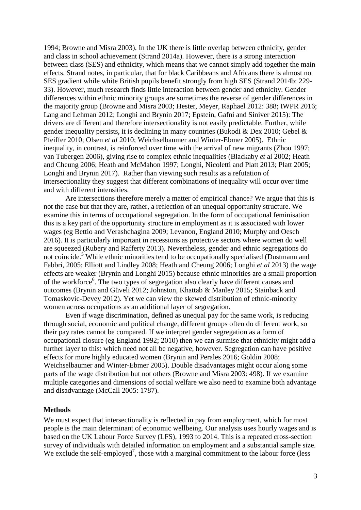1994; Browne and Misra 2003). In the UK there is little overlap between ethnicity, gender and class in school achievement (Strand 2014a). However, there is a strong interaction between class (SES) and ethnicity, which means that we cannot simply add together the main effects. Strand notes, in particular, that for black Caribbeans and Africans there is almost no SES gradient while white British pupils benefit strongly from high SES (Strand 2014b: 229- 33). However, much research finds little interaction between gender and ethnicity. Gender differences within ethnic minority groups are sometimes the reverse of gender differences in the majority group (Browne and Misra 2003; Hester, Meyer, Raphael 2012: 388; IWPR 2016; Lang and Lehman 2012; Longhi and Brynin 2017; Epstein, Gafni and Siniver 2015): The drivers are different and therefore intersectionality is not easily predictable. Further, while gender inequality persists, it is declining in many countries (Bukodi & Dex 2010; Gebel & Pfeiffer 2010; Olsen *et al* 2010; Weichselbaumer and Winter-Ebmer 2005). Ethnic inequality, in contrast, is reinforced over time with the arrival of new migrants (Zhou 1997; van Tubergen 2006), giving rise to complex ethnic inequalities (Blackaby *et* al 2002; Heath and Cheung 2006; Heath and McMahon 1997; Longhi, Nicoletti and Platt 2013; Platt 2005; Longhi and Brynin 2017). Rather than viewing such results as a refutation of intersectionality they suggest that different combinations of inequality will occur over time and with different intensities.

Are intersections therefore merely a matter of empirical chance? We argue that this is not the case but that they are, rather, a reflection of an unequal opportunity structure. We examine this in terms of occupational segregation. In the form of occupational feminisation this is a key part of the opportunity structure in employment as it is associated with lower wages (eg Bettio and Verashchagina 2009; Levanon, England 2010; Murphy and Oesch 2016). It is particularly important in recessions as protective sectors where women do well are squeezed (Rubery and Rafferty 2013). Nevertheless, gender and ethnic segregations do not coincide.<sup>5</sup> While ethnic minorities tend to be occupationally specialised (Dustmann and Fabbri, 2005; Elliott and Lindley 2008; Heath and Cheung 2006; Longhi *et al* 2013) the wage effects are weaker (Brynin and Longhi 2015) because ethnic minorities are a small proportion of the workforce<sup>6</sup>. The two types of segregation also clearly have different causes and outcomes (Brynin and Güveli 2012; Johnston, Khattab & Manley 2015; Stainback and Tomaskovic-Devey 2012). Yet we can view the skewed distribution of ethnic-minority women across occupations as an additional layer of segregation.

Even if wage discrimination, defined as unequal pay for the same work, is reducing through social, economic and political change, different groups often do different work, so their pay rates cannot be compared. If we interpret gender segregation as a form of occupational closure (eg England 1992; 2010) then we can surmise that ethnicity might add a further layer to this: which need not all be negative, however. Segregation can have positive effects for more highly educated women (Brynin and Perales 2016; Goldin 2008; Weichselbaumer and Winter-Ebmer 2005). Double disadvantages might occur along some parts of the wage distribution but not others (Browne and Misra 2003: 498). If we examine multiple categories and dimensions of social welfare we also need to examine both advantage and disadvantage (McCall 2005: 1787).

### **Methods**

We must expect that intersectionality is reflected in pay from employment, which for most people is the main determinant of economic wellbeing. Our analysis uses hourly wages and is based on the UK Labour Force Survey (LFS), 1993 to 2014. This is a repeated cross-section survey of individuals with detailed information on employment and a substantial sample size. We exclude the self-employed<sup>7</sup>, those with a marginal commitment to the labour force (less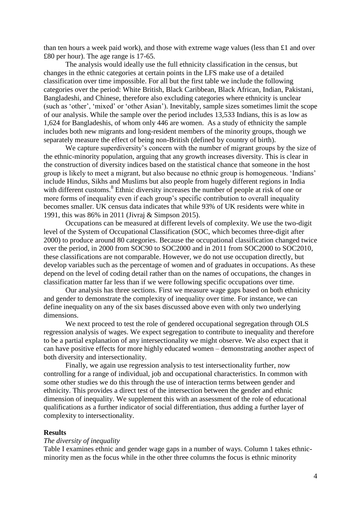than ten hours a week paid work), and those with extreme wage values (less than £1 and over £80 per hour). The age range is 17-65.

The analysis would ideally use the full ethnicity classification in the census, but changes in the ethnic categories at certain points in the LFS make use of a detailed classification over time impossible. For all but the first table we include the following categories over the period: White British, Black Caribbean, Black African, Indian, Pakistani, Bangladeshi, and Chinese, therefore also excluding categories where ethnicity is unclear (such as 'other', 'mixed' or 'other Asian'). Inevitably, sample sizes sometimes limit the scope of our analysis. While the sample over the period includes 13,533 Indians, this is as low as 1,624 for Bangladeshis, of whom only 446 are women. As a study of ethnicity the sample includes both new migrants and long-resident members of the minority groups, though we separately measure the effect of being non-British (defined by country of birth).

We capture superdiversity's concern with the number of migrant groups by the size of the ethnic-minority population, arguing that any growth increases diversity. This is clear in the construction of diversity indices based on the statistical chance that someone in the host group is likely to meet a migrant, but also because no ethnic group is homogeneous. 'Indians' include Hindus, Sikhs and Muslims but also people from hugely different regions in India with different customs.<sup>8</sup> Ethnic diversity increases the number of people at risk of one or more forms of inequality even if each group's specific contribution to overall inequality becomes smaller. UK census data indicates that while 93% of UK residents were white in 1991, this was 86% in 2011 (Jivraj & Simpson 2015).

Occupations can be measured at different levels of complexity. We use the two-digit level of the System of Occupational Classification (SOC, which becomes three-digit after 2000) to produce around 80 categories. Because the occupational classification changed twice over the period, in 2000 from SOC90 to SOC2000 and in 2011 from SOC2000 to SOC2010, these classifications are not comparable. However, we do not use occupation directly, but develop variables such as the percentage of women and of graduates in occupations. As these depend on the level of coding detail rather than on the names of occupations, the changes in classification matter far less than if we were following specific occupations over time.

Our analysis has three sections. First we measure wage gaps based on both ethnicity and gender to demonstrate the complexity of inequality over time. For instance, we can define inequality on any of the six bases discussed above even with only two underlying dimensions.

We next proceed to test the role of gendered occupational segregation through OLS regression analysis of wages. We expect segregation to contribute to inequality and therefore to be a partial explanation of any intersectionality we might observe. We also expect that it can have positive effects for more highly educated women – demonstrating another aspect of both diversity and intersectionality.

Finally, we again use regression analysis to test intersectionality further, now controlling for a range of individual, job and occupational characteristics. In common with some other studies we do this through the use of interaction terms between gender and ethnicity. This provides a direct test of the intersection between the gender and ethnic dimension of inequality. We supplement this with an assessment of the role of educational qualifications as a further indicator of social differentiation, thus adding a further layer of complexity to intersectionality.

#### **Results**

### *The diversity of inequality*

Table I examines ethnic and gender wage gaps in a number of ways. Column 1 takes ethnicminority men as the focus while in the other three columns the focus is ethnic minority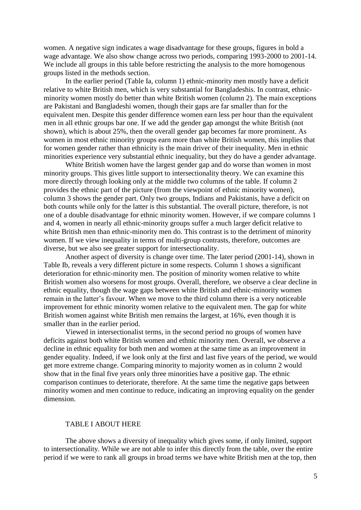women. A negative sign indicates a wage disadvantage for these groups, figures in bold a wage advantage. We also show change across two periods, comparing 1993-2000 to 2001-14. We include all groups in this table before restricting the analysis to the more homogenous groups listed in the methods section.

In the earlier period (Table Ia, column 1) ethnic-minority men mostly have a deficit relative to white British men, which is very substantial for Bangladeshis. In contrast, ethnicminority women mostly do better than white British women (column 2). The main exceptions are Pakistani and Bangladeshi women, though their gaps are far smaller than for the equivalent men. Despite this gender difference women earn less per hour than the equivalent men in all ethnic groups bar one. If we add the gender gap amongst the white British (not shown), which is about 25%, then the overall gender gap becomes far more prominent. As women in most ethnic minority groups earn more than white British women, this implies that for women gender rather than ethnicity is the main driver of their inequality. Men in ethnic minorities experience very substantial ethnic inequality, but they do have a gender advantage.

White British women have the largest gender gap and do worse than women in most minority groups. This gives little support to intersectionality theory. We can examine this more directly through looking only at the middle two columns of the table. If column 2 provides the ethnic part of the picture (from the viewpoint of ethnic minority women), column 3 shows the gender part. Only two groups, Indians and Pakistanis, have a deficit on both counts while only for the latter is this substantial. The overall picture, therefore, is not one of a double disadvantage for ethnic minority women. However, if we compare columns 1 and 4, women in nearly all ethnic-minority groups suffer a much larger deficit relative to white British men than ethnic-minority men do. This contrast is to the detriment of minority women. If we view inequality in terms of multi-group contrasts, therefore, outcomes are diverse, but we also see greater support for intersectionality.

Another aspect of diversity is change over time. The later period (2001-14), shown in Table Ib, reveals a very different picture in some respects. Column 1 shows a significant deterioration for ethnic-minority men. The position of minority women relative to white British women also worsens for most groups. Overall, therefore, we observe a clear decline in ethnic equality, though the wage gaps between white British and ethnic-minority women remain in the latter's favour. When we move to the third column there is a very noticeable improvement for ethnic minority women relative to the equivalent men. The gap for white British women against white British men remains the largest, at 16%, even though it is smaller than in the earlier period.

Viewed in intersectionalist terms, in the second period no groups of women have deficits against both white British women and ethnic minority men. Overall, we observe a decline in ethnic equality for both men and women at the same time as an improvement in gender equality. Indeed, if we look only at the first and last five years of the period, we would get more extreme change. Comparing minority to majority women as in column 2 would show that in the final five years only three minorities have a positive gap. The ethnic comparison continues to deteriorate, therefore. At the same time the negative gaps between minority women and men continue to reduce, indicating an improving equality on the gender dimension.

### TABLE I ABOUT HERE

The above shows a diversity of inequality which gives some, if only limited, support to intersectionality. While we are not able to infer this directly from the table, over the entire period if we were to rank all groups in broad terms we have white British men at the top, then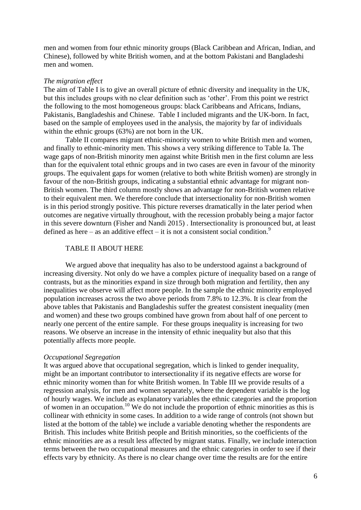men and women from four ethnic minority groups (Black Caribbean and African, Indian, and Chinese), followed by white British women, and at the bottom Pakistani and Bangladeshi men and women.

#### *The migration effect*

The aim of Table I is to give an overall picture of ethnic diversity and inequality in the UK, but this includes groups with no clear definition such as 'other'. From this point we restrict the following to the most homogeneous groups: black Caribbeans and Africans, Indians, Pakistanis, Bangladeshis and Chinese. Table I included migrants and the UK-born. In fact, based on the sample of employees used in the analysis, the majority by far of individuals within the ethnic groups (63%) are not born in the UK.

Table II compares migrant ethnic-minority women to white British men and women, and finally to ethnic-minority men. This shows a very striking difference to Table Ia. The wage gaps of non-British minority men against white British men in the first column are less than for the equivalent total ethnic groups and in two cases are even in favour of the minority groups. The equivalent gaps for women (relative to both white British women) are strongly in favour of the non-British groups, indicating a substantial ethnic advantage for migrant non-British women. The third column mostly shows an advantage for non-British women relative to their equivalent men. We therefore conclude that intersectionality for non-British women is in this period strongly positive. This picture reverses dramatically in the later period when outcomes are negative virtually throughout, with the recession probably being a major factor in this severe downturn (Fisher and Nandi 2015) . Intersectionality is pronounced but, at least defined as here – as an additive effect – it is not a consistent social condition.<sup>9</sup>

#### TABLE II ABOUT HERE

We argued above that inequality has also to be understood against a background of increasing diversity. Not only do we have a complex picture of inequality based on a range of contrasts, but as the minorities expand in size through both migration and fertility, then any inequalities we observe will affect more people. In the sample the ethnic minority employed population increases across the two above periods from 7.8% to 12.3%. It is clear from the above tables that Pakistanis and Bangladeshis suffer the greatest consistent inequality (men and women) and these two groups combined have grown from about half of one percent to nearly one percent of the entire sample. For these groups inequality is increasing for two reasons. We observe an increase in the intensity of ethnic inequality but also that this potentially affects more people.

#### *Occupational Segregation*

It was argued above that occupational segregation, which is linked to gender inequality, might be an important contributor to intersectionality if its negative effects are worse for ethnic minority women than for white British women. In Table III we provide results of a regression analysis, for men and women separately, where the dependent variable is the log of hourly wages. We include as explanatory variables the ethnic categories and the proportion of women in an occupation. <sup>10</sup> We do not include the proportion of ethnic minorities as this is collinear with ethnicity in some cases. In addition to a wide range of controls (not shown but listed at the bottom of the table) we include a variable denoting whether the respondents are British. This includes white British people and British minorities, so the coefficients of the ethnic minorities are as a result less affected by migrant status. Finally, we include interaction terms between the two occupational measures and the ethnic categories in order to see if their effects vary by ethnicity. As there is no clear change over time the results are for the entire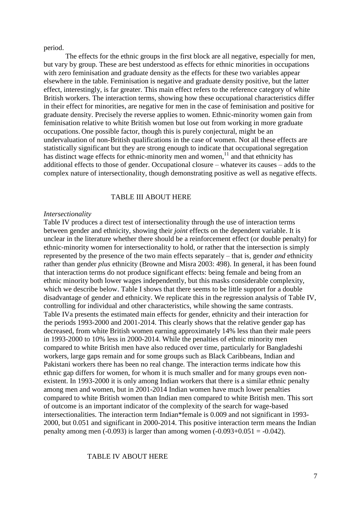period.

The effects for the ethnic groups in the first block are all negative, especially for men, but vary by group. These are best understood as effects for ethnic minorities in occupations with zero feminisation and graduate density as the effects for these two variables appear elsewhere in the table. Feminisation is negative and graduate density positive, but the latter effect, interestingly, is far greater. This main effect refers to the reference category of white British workers. The interaction terms, showing how these occupational characteristics differ in their effect for minorities, are negative for men in the case of feminisation and positive for graduate density. Precisely the reverse applies to women. Ethnic-minority women gain from feminisation relative to white British women but lose out from working in more graduate occupations. One possible factor, though this is purely conjectural, might be an undervaluation of non-British qualifications in the case of women. Not all these effects are statistically significant but they are strong enough to indicate that occupational segregation has distinct wage effects for ethnic-minority men and women,<sup>11</sup> and that ethnicity has additional effects to those of gender. Occupational closure – whatever its causes – adds to the complex nature of intersectionality, though demonstrating positive as well as negative effects.

### TABLE III ABOUT HERE

#### *Intersectionality*

Table IV produces a direct test of intersectionality through the use of interaction terms between gender and ethnicity, showing their *joint* effects on the dependent variable. It is unclear in the literature whether there should be a reinforcement effect (or double penalty) for ethnic-minority women for intersectionality to hold, or rather that the intersection is simply represented by the presence of the two main effects separately – that is, gender *and* ethnicity rather than gender *plus* ethnicity (Browne and Misra 2003: 498). In general, it has been found that interaction terms do not produce significant effects: being female and being from an ethnic minority both lower wages independently, but this masks considerable complexity, which we describe below. Table I shows that there seems to be little support for a double disadvantage of gender and ethnicity. We replicate this in the regression analysis of Table IV, controlling for individual and other characteristics, while showing the same contrasts. Table IVa presents the estimated main effects for gender, ethnicity and their interaction for the periods 1993-2000 and 2001-2014. This clearly shows that the relative gender gap has decreased, from white British women earning approximately 14% less than their male peers in 1993-2000 to 10% less in 2000-2014. While the penalties of ethnic minority men compared to white British men have also reduced over time, particularly for Bangladeshi workers, large gaps remain and for some groups such as Black Caribbeans, Indian and Pakistani workers there has been no real change. The interaction terms indicate how this ethnic gap differs for women, for whom it is much smaller and for many groups even nonexistent. In 1993-2000 it is only among Indian workers that there is a similar ethnic penalty among men and women, but in 2001-2014 Indian women have much lower penalties compared to white British women than Indian men compared to white British men. This sort of outcome is an important indicator of the complexity of the search for wage-based intersectionalities. The interaction term Indian\*female is 0.009 and not significant in 1993- 2000, but 0.051 and significant in 2000-2014. This positive interaction term means the Indian penalty among men  $(-0.093)$  is larger than among women  $(-0.093+0.051) = -0.042$ .

### TABLE IV ABOUT HERE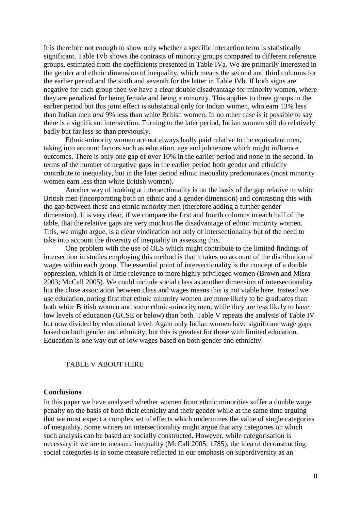It is therefore not enough to show only whether a specific interaction term is statistically significant. Table IVb shows the contrasts of minority groups compared to different reference groups, estimated from the coefficients presented in Table IVa. We are primarily interested in the gender and ethnic dimension of inequality, which means the second and third columns for the earlier period and the sixth and seventh for the latter in Table IVb. If both signs are negative for each group then we have a clear double disadvantage for minority women, where they are penalized for being female and being a minority. This applies to three groups in the earlier period but this joint effect is substantial only for Indian women, who earn 13% less than Indian men *and* 9% less than white British women. In no other case is it possible to say there is a significant intersection. Turning to the later period, Indian women still do relatively badly but far less so than previously.

Ethnic-minority women are not always badly paid relative to the equivalent men, taking into account factors such as education, age and job tenure which might influence outcomes. There is only one gap of over 10% in the earlier period and none in the second. In terms of the number of negative gaps in the earlier period both gender and ethnicity contribute to inequality, but in the later period ethnic inequality predominates (most minority women earn less than white British women).

Another way of looking at intersectionality is on the basis of the gap relative to white British men (incorporating both an ethnic and a gender dimension) and contrasting this with the gap between these and ethnic minority men (therefore adding a further gender dimension). It is very clear, if we compare the first and fourth columns in each half of the table, that the relative gaps are very much to the disadvantage of ethnic minority women. This, we might argue, is a clear vindication not only of intersectionality but of the need to take into account the diversity of inequality in assessing this.

One problem with the use of OLS which might contribute to the limited findings of intersection in studies employing this method is that it takes no account of the distribution of wages within each group. The essential point of intersectionality is the concept of a double oppression, which is of little relevance to more highly privileged women (Brown and Misra 2003; McCall 2005). We could include social class as another dimension of intersectionality but the close association between class and wages means this is not viable here. Instead we use education, noting first that ethnic minority women are more likely to be graduates than both white British women and some ethnic-minority men, while they are less likely to have low levels of education (GCSE or below) than both. Table V repeats the analysis of Table IV but now divided by educational level. Again only Indian women have significant wage gaps based on both gender and ethnicity, but this is greatest for those with limited education. Education is one way out of low wages based on both gender and ethnicity.

## TABLE V ABOUT HERE

### **Conclusions**

In this paper we have analysed whether women from ethnic minorities suffer a double wage penalty on the basis of both their ethnicity and their gender while at the same time arguing that we must expect a complex set of effects which undermines the value of single categories of inequality. Some writers on intersectionality might argue that any categories on which such analysis can be based are socially constructed. However, while categorisation is necessary if we are to measure inequality (McCall 2005: 1785), the idea of deconstructing social categories is in some measure reflected in our emphasis on superdiversity as an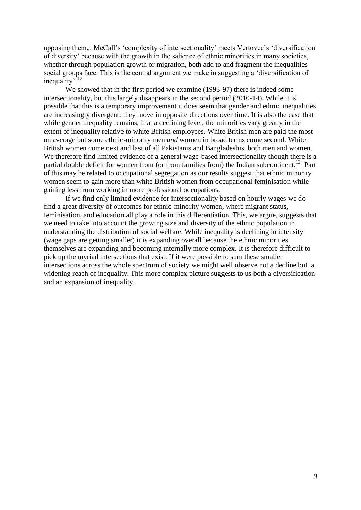opposing theme. McCall's 'complexity of intersectionality' meets Vertovec's 'diversification of diversity' because with the growth in the salience of ethnic minorities in many societies, whether through population growth or migration, both add to and fragment the inequalities social groups face. This is the central argument we make in suggesting a 'diversification of inequality'. $^{12}$ 

We showed that in the first period we examine (1993-97) there is indeed some intersectionality, but this largely disappears in the second period (2010-14). While it is possible that this is a temporary improvement it does seem that gender and ethnic inequalities are increasingly divergent: they move in opposite directions over time. It is also the case that while gender inequality remains, if at a declining level, the minorities vary greatly in the extent of inequality relative to white British employees. White British men are paid the most on average but some ethnic-minority men *and* women in broad terms come second. White British women come next and last of all Pakistanis and Bangladeshis, both men and women. We therefore find limited evidence of a general wage-based intersectionality though there is a partial double deficit for women from (or from families from) the Indian subcontinent.<sup>13</sup> Part of this may be related to occupational segregation as our results suggest that ethnic minority women seem to gain more than white British women from occupational feminisation while gaining less from working in more professional occupations.

If we find only limited evidence for intersectionality based on hourly wages we do find a great diversity of outcomes for ethnic-minority women, where migrant status, feminisation, and education all play a role in this differentiation. This, we argue, suggests that we need to take into account the growing size and diversity of the ethnic population in understanding the distribution of social welfare. While inequality is declining in intensity (wage gaps are getting smaller) it is expanding overall because the ethnic minorities themselves are expanding and becoming internally more complex. It is therefore difficult to pick up the myriad intersections that exist. If it were possible to sum these smaller intersections across the whole spectrum of society we might well observe not a decline but a widening reach of inequality. This more complex picture suggests to us both a diversification and an expansion of inequality.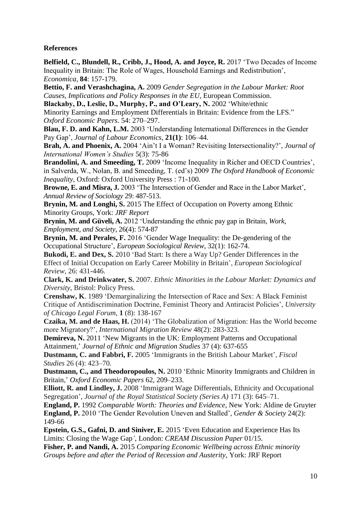# **References**

**Belfield, C., Blundell, R., Cribb, J., Hood, A. and Joyce, R.** 2017 'Two Decades of Income Inequality in Britain: The Role of Wages, Household Earnings and Redistribution', *Economica*, **84**: 157-179.

**Bettio, F. and Verashchagina, A.** 2009 *Gender Segregation in the Labour Market: Root Causes, Implications and Policy Responses in the EU,* European Commission.

**Blackaby, D., Leslie, D., Murphy, P., and O'Leary, N.** 2002 'White/ethnic

Minority Earnings and Employment Differentials in Britain: Evidence from the LFS." *Oxford Economic Papers*. 54: 270–297.

**Blau, F. D. and Kahn, L.M.** 2003 'Understanding International Differences in the Gender Pay Gap', *Journal of Labour Economics*, **21(1)**: 106–44.

**Brah, A. and Phoenix, A.** 2004 'Ain't I a Woman? Revisiting Intersectionality?', *Journal of International Women's Studies* 5(3): 75-86

**Brandolini, A. and Smeeding, T.** 2009 'Income Inequality in Richer and OECD Countries', in Salverda, W., Nolan, B. and Smeeding, T. (ed's) 2009 *The Oxford Handbook of Economic Inequality*, Oxford: Oxford University Press : 71-100.

**Browne, E. and Misra, J.** 2003 'The Intersection of Gender and Race in the Labor Market', *Annual Review of Sociology* 29: 487-513.

**Brynin, M. and Longhi, S.** 2015 The Effect of Occupation on Poverty among Ethnic Minority Groups, York: *JRF Report*

**Brynin, M. and Güveli, A.** 2012 'Understanding the ethnic pay gap in Britain, *Work, Employment, and Society*, 26(4): 574-87

**Brynin, M. and Perales, F.** 2016 'Gender Wage Inequality: the De-gendering of the Occupational Structure', *European Sociological Review*, 32(1): 162-74.

**Bukodi, E. and Dex, S.** 2010 'Bad Start: Is there a Way Up? Gender Differences in the Effect of Initial Occupation on Early Career Mobility in Britain', *European Sociological Review*, 26: 431-446.

**Clark, K. and Drinkwater, S.** 2007. *Ethnic Minorities in the Labour Market: Dynamics and Diversity*, Bristol: Policy Press.

**Crenshaw, K**. 1989 'Demarginalizing the Intersection of Race and Sex: A Black Feminist Critique of Antidiscrimination Doctrine, Feminist Theory and Antiracist Policies', *University of Chicago Legal Forum*, **1** (8): 138-167

**Czaika, M. and de Haas, H.** (2014) 'The Globalization of Migration: Has the World become more Migratory?', *International Migration Review* 48(2): 283-323.

**Demireva, N.** 2011 'New Migrants in the UK: Employment Patterns and Occupational Attainment,' *Journal of Ethnic and Migration Studies* 37 (4): 637-655

**Dustmann, C. and Fabbri, F.** 2005 'Immigrants in the British Labour Market', *Fiscal Studies* 26 (4): 423–70*.*

**Dustmann, C., and Theodoropoulos, N.** 2010 'Ethnic Minority Immigrants and Children in Britain,' *Oxford Economic Papers* 62, 209–233.

**Elliott, R. and Lindley, J.** 2008 'Immigrant Wage Differentials, Ethnicity and Occupational Segregation', *Journal of the Royal Statistical Society (Series A)* 171 (3): 645–71.

**England, P.** 1992 *Comparable Worth: Theories and Evidence*, New York: Aldine de Gruyter **England, P.** 2010 'The Gender Revolution Uneven and Stalled', *Gender & Society* 24(2): 149-66

**Epstein, G.S., Gafni, D. and Siniver, E.** 2015 'Even Education and Experience Has Its Limits: Closing the Wage Gap*'*, London: *CREAM Discussion Paper* 01/15.

**Fisher, P. and Nandi, A.** 2015 *Comparing Economic Wellbeing across Ethnic minority Groups before and after the Period of Recession and Austerity*, York: JRF Report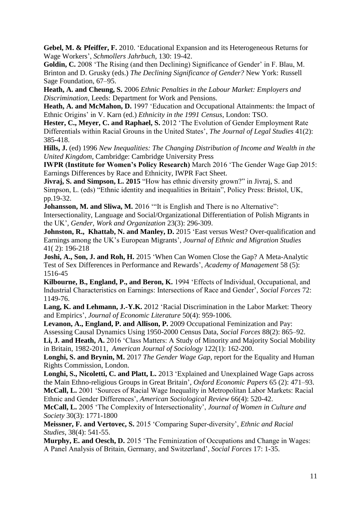**Gebel, M. & Pfeiffer, F.** 2010. 'Educational Expansion and its Heterogeneous Returns for Wage Workers', *Schmollers Jahrbuch*, 130: 19-42.

**Goldin, C.** 2008 'The Rising (and then Declining) Significance of Gender' in F. Blau, M. Brinton and D. Grusky (eds.) *The Declining Significance of Gender?* New York: Russell Sage Foundation, 67–95.

**Heath, A. and Cheung, S.** 2006 *Ethnic Penalties in the Labour Market: Employers and Discrimination*, Leeds: Department for Work and Pensions.

Heath, A. and McMahon, D. 1997 'Education and Occupational Attainments: the Impact of Ethnic Origins' in V. Karn (ed.) *Ethnicity in the 1991 Census*, London: TSO.

**Hester, C., Meyer, C. and Raphael, S.** 2012 'The Evolution of Gender Employment Rate Differentials within Racial Grouns in the United States', *The Journal of Legal Studies* 41(2): 385-418.

**Hills, J.** (ed) 1996 *New Inequalities: The Changing Distribution of Income and Wealth in the United Kingdom*, Cambridge: Cambridge University Press

**IWPR (Institute for Women's Policy Research)** March 2016 'The Gender Wage Gap 2015: Earnings Differences by Race and Ethnicity, IWPR Fact Sheet.

**Jivraj, S. and Simpson, L. 2015** "How has ethnic diversity grown?" in Jivraj, S. and Simpson, L. (eds) "Ethnic identity and inequalities in Britain", Policy Press: Bristol, UK, pp.19-32.

**Johansson, M. and Sliwa, M.** 2016 "It is English and There is no Alternative": Intersectionality, Language and Social/Organizational Differentiation of Polish Migrants in the UK', *Gender, Work and Organization* 23(3): 296-309.

**Johnston, R., Khattab, N. and Manley, D.** 2015 'East versus West? Over-qualification and Earnings among the UK's European Migrants', *Journal of Ethnic and Migration Studies* 41( 2): 196-218

**Joshi, A., Son, J. and Roh, H.** 2015 'When Can Women Close the Gap? A Meta-Analytic Test of Sex Differences in Performance and Rewards', *Academy of Management* 58 (5): 1516-45

**Kilbourne, B., England, P., and Beron, K.** 1994 'Effects of Individual, Occupational, and Industrial Characteristics on Earnings: Intersections of Race and Gender', *Social Forces* 72: 1149-76.

**Lang, K. and Lehmann, J.-Y.K.** 2012 'Racial Discrimination in the Labor Market: Theory and Empirics', *Journal of Economic Literature* 50(4): 959-1006.

**Levanon, A., England, P. and Allison, P.** 2009 Occupational Feminization and Pay: Assessing Causal Dynamics Using 1950-2000 Census Data, *Social Forces* 88(2): 865–92.

**Li, J. and Heath, A.** 2016 'Class Matters: A Study of Minority and Majority Social Mobility in Britain, 1982-2011, *American Journal of Sociology* 122(1): 162-200.

**Longhi, S. and Brynin, M.** 2017 *The Gender Wage Gap*, report for the Equality and Human Rights Commission, London.

**Longhi, S., Nicoletti, C. and Platt, L.** 2013 'Explained and Unexplained Wage Gaps across the Main Ethno-religious Groups in Great Britain', *Oxford Economic Papers* 65 (2): 471–93. **McCall, L.** 2001 'Sources of Racial Wage Inequality in Metropolitan Labor Markets: Racial Ethnic and Gender Differences', *American Sociological Review* 66(4): 520-42.

**McCall, L.** 2005 'The Complexity of Intersectionality', *Journal of Women in Culture and Society* 30(3): 1771-1800

**Meissner, F. and Vertovec, S.** 2015 'Comparing Super-diversity', *Ethnic and Racial Studies*, 38(4): 541-55.

**Murphy, E. and Oesch, D.** 2015 'The Feminization of Occupations and Change in Wages: A Panel Analysis of Britain, Germany, and Switzerland', *Social Forces* 17: 1-35.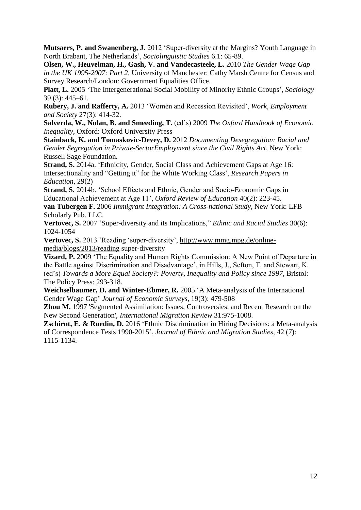**Mutsaers, P. and Swanenberg, J.** 2012 'Super-diversity at the Margins? Youth Language in North Brabant, The Netherlands', *Sociolinguistic Studies* 6.1: 65-89.

**Olsen, W., Heuvelman, H., Gash, V. and Vandecasteele, L.** 2010 *The Gender Wage Gap in the UK 1995-2007: Part 2*, University of Manchester: Cathy Marsh Centre for Census and Survey Research/London: Government Equalities Office.

**Platt, L.** 2005 'The Intergenerational Social Mobility of Minority Ethnic Groups', *Sociology* 39 (3): 445–61.

**Rubery, J. and Rafferty, A.** 2013 'Women and Recession Revisited', *Work, Employment and Society* 27(3): 414-32.

**Salverda, W., Nolan, B. and Smeeding, T.** (ed's) 2009 *The Oxford Handbook of Economic Inequality*, Oxford: Oxford University Press

**Stainback, K. and Tomaskovic-Devey, D.** 2012 *Documenting Desegregation: Racial and Gender Segregation in Private-SectorEmployment since the Civil Rights Act*, New York: Russell Sage Foundation.

**Strand, S.** 2014a. 'Ethnicity, Gender, Social Class and Achievement Gaps at Age 16: Intersectionality and "Getting it" for the White Working Class', *Research Papers in Education*, 29(2)

**Strand, S.** 2014b. 'School Effects and Ethnic, Gender and Socio-Economic Gaps in Educational Achievement at Age 11', *Oxford Review of Education* 40(2): 223-45.

**van Tubergen F.** 2006 *Immigrant Integration: A Cross-national Study*, New York: LFB Scholarly Pub. LLC.

**Vertovec, S.** 2007 'Super-diversity and its Implications," *Ethnic and Racial Studies* 30(6): 1024-1054

**Vertovec, S.** 2013 'Reading 'super-diversity', [http://www.mmg.mpg.de/online](http://www.mmg.mpg.de/online-media/blogs/2013/reading)[media/blogs/2013/reading](http://www.mmg.mpg.de/online-media/blogs/2013/reading) super-diversity

**Vizard, P.** 2009 'The Equality and Human Rights Commission: A New Point of Departure in the Battle against Discrimination and Disadvantage', in Hills, J., Sefton, T. and Stewart, K. (ed's) *Towards a More Equal Society?: Poverty, Inequality and Policy since 1997*, Bristol: The Policy Press: 293-318.

**Weichselbaumer, D. and Winter-Ebmer, R.** 2005 'A Meta-analysis of the International Gender Wage Gap' *Journal of Economic Surveys*, 19(3): 479-508

**Zhou M.** 1997 'Segmented Assimilation: Issues, Controversies, and Recent Research on the New Second Generation', *International Migration Review* 31:975-1008.

**Zschirnt, E. & Ruedin, D.** 2016 'Ethnic Discrimination in Hiring Decisions: a Meta-analysis of Correspondence Tests 1990-2015', *Journal of Ethnic and Migration Studies*, 42 (7): 1115-1134.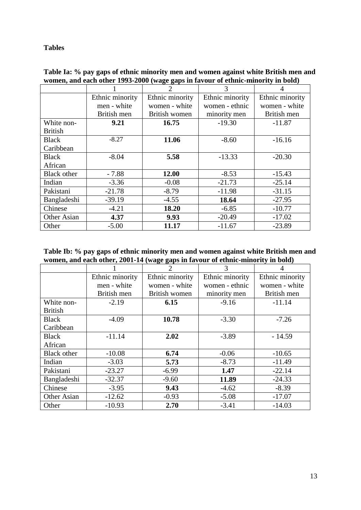# **Tables**

|                    |                 | $\overline{2}$       | 3               | $\overline{4}$  |  |
|--------------------|-----------------|----------------------|-----------------|-----------------|--|
|                    | Ethnic minority | Ethnic minority      | Ethnic minority | Ethnic minority |  |
|                    | men - white     | women - white        | women - ethnic  | women - white   |  |
|                    | British men     | <b>British women</b> | minority men    | British men     |  |
| White non-         | 9.21            | 16.75                | $-19.30$        | $-11.87$        |  |
| <b>British</b>     |                 |                      |                 |                 |  |
| <b>Black</b>       | $-8.27$         | 11.06                | $-8.60$         | $-16.16$        |  |
| Caribbean          |                 |                      |                 |                 |  |
| <b>Black</b>       | $-8.04$         | 5.58                 | $-13.33$        | $-20.30$        |  |
| African            |                 |                      |                 |                 |  |
| <b>Black</b> other | $-7.88$         | 12.00                | $-8.53$         | $-15.43$        |  |
| Indian             | $-3.36$         | $-0.08$              | $-21.73$        | $-25.14$        |  |
| Pakistani          | $-21.78$        | $-8.79$              | $-11.98$        | $-31.15$        |  |
| Bangladeshi        | $-39.19$        | $-4.55$              | 18.64           | $-27.95$        |  |
| Chinese            | $-4.21$         | 18.20                | $-6.85$         | $-10.77$        |  |
| Other Asian        | 4.37            | 9.93                 | $-20.49$        | $-17.02$        |  |
| Other              | $-5.00$         | 11.17                | $-11.67$        | $-23.89$        |  |

**Table Ia: % pay gaps of ethnic minority men and women against white British men and women, and each other 1993-2000 (wage gaps in favour of ethnic-minority in bold)** 

**Table Ib: % pay gaps of ethnic minority men and women against white British men and women, and each other, 2001-14 (wage gaps in favour of ethnic-minority in bold)**

|                    |                 | $\overline{2}$       | 3               | 4               |  |
|--------------------|-----------------|----------------------|-----------------|-----------------|--|
|                    | Ethnic minority | Ethnic minority      | Ethnic minority | Ethnic minority |  |
|                    | men - white     | women - white        | women - ethnic  | women - white   |  |
|                    | British men     | <b>British women</b> | minority men    | British men     |  |
| White non-         | $-2.19$         | 6.15                 | $-9.16$         | $-11.14$        |  |
| <b>British</b>     |                 |                      |                 |                 |  |
| <b>Black</b>       | $-4.09$         | 10.78                | $-3.30$         | $-7.26$         |  |
| Caribbean          |                 |                      |                 |                 |  |
| <b>Black</b>       | $-11.14$        | 2.02                 | $-3.89$         | $-14.59$        |  |
| African            |                 |                      |                 |                 |  |
| <b>Black other</b> | $-10.08$        | 6.74                 | $-0.06$         | $-10.65$        |  |
| Indian             | $-3.03$         | 5.73                 | $-8.73$         | $-11.49$        |  |
| Pakistani          | $-23.27$        | $-6.99$              | 1.47            | $-22.14$        |  |
| Bangladeshi        | $-32.37$        | $-9.60$              | 11.89           | $-24.33$        |  |
| Chinese            | $-3.95$         | 9.43                 | $-4.62$         | $-8.39$         |  |
| Other Asian        | $-12.62$        | $-0.93$              | $-5.08$         | $-17.07$        |  |
| Other              | $-10.93$        | 2.70                 | $-3.41$         | $-14.03$        |  |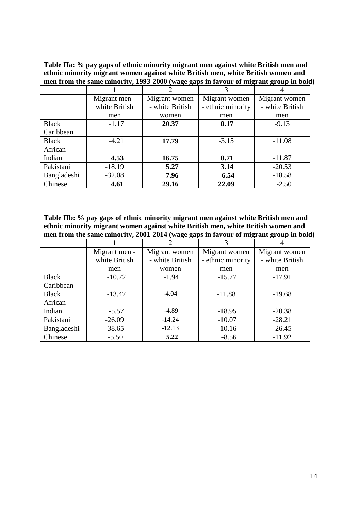**Table IIa: % pay gaps of ethnic minority migrant men against white British men and ethnic minority migrant women against white British men, white British women and men from the same minority, 1993-2000 (wage gaps in favour of migrant group in bold)**

|              | Migrant men - | Migrant women   | Migrant women     | Migrant women |
|--------------|---------------|-----------------|-------------------|---------------|
|              | white British | - white British | - ethnic minority |               |
|              | men           | women           | men               | men           |
| <b>Black</b> | $-1.17$       | 20.37           | 0.17              | $-9.13$       |
| Caribbean    |               |                 |                   |               |
| <b>Black</b> | $-4.21$       | 17.79           | $-3.15$           | $-11.08$      |
| African      |               |                 |                   |               |
| Indian       | 4.53          | 16.75           | 0.71              | $-11.87$      |
| Pakistani    | $-18.19$      | 5.27            | 3.14              | $-20.53$      |
| Bangladeshi  | $-32.08$      | 7.96            | 6.54              | $-18.58$      |
| Chinese      | 4.61          | 29.16           | 22.09             | $-2.50$       |

**Table IIb: % pay gaps of ethnic minority migrant men against white British men and ethnic minority migrant women against white British men, white British women and men from the same minority, 2001-2014 (wage gaps in favour of migrant group in bold)**

|              | Migrant men - | Migrant women   | Migrant women     | Migrant women   |
|--------------|---------------|-----------------|-------------------|-----------------|
|              | white British | - white British | - ethnic minority | - white British |
|              | men           | women           | men               | men             |
| <b>Black</b> | $-10.72$      | $-1.94$         | $-15.77$          | $-17.91$        |
| Caribbean    |               |                 |                   |                 |
| <b>Black</b> | $-13.47$      | $-4.04$         | $-11.88$          | $-19.68$        |
| African      |               |                 |                   |                 |
| Indian       | $-5.57$       | $-4.89$         | $-18.95$          | $-20.38$        |
| Pakistani    | $-26.09$      | $-14.24$        | $-10.07$          | $-28.21$        |
| Bangladeshi  | $-38.65$      | $-12.13$        | $-10.16$          | $-26.45$        |
| Chinese      | $-5.50$       | 5.22            | $-8.56$           | $-11.92$        |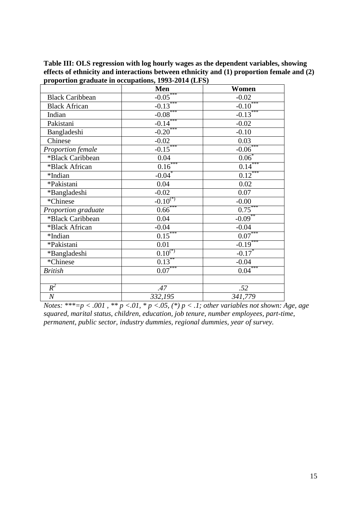**Table III: OLS regression with log hourly wages as the dependent variables, showing effects of ethnicity and interactions between ethnicity and (1) proportion female and (2) proportion graduate in occupations, 1993-2014 (LFS)**

|                        | Men                     | Women                 |
|------------------------|-------------------------|-----------------------|
| <b>Black Caribbean</b> | $-0.05***$              | $-0.02$               |
| <b>Black African</b>   | $-0.13***$              | $-0.10***$            |
| Indian                 | $-0.08***$              | $-0.13***$            |
| Pakistani              | $-0.14$                 | $-0.02$               |
| Bangladeshi            | $-0.20***$              | $-0.10$               |
| Chinese                | $-0.02$                 | 0.03                  |
| Proportion female      | $-0.15***$              | $-0.06***$            |
| *Black Caribbean       | 0.04                    | $0.06*$               |
| *Black African         | $\frac{0.16^{***}}{2}$  | $0.14***$             |
| *Indian                | $-0.04$ <sup>*</sup>    | $0.12***$             |
| *Pakistani             | 0.04                    | 0.02                  |
| *Bangladeshi           | $-0.02$                 | 0.07                  |
| *Chinese               | $-0.10^{(*)}$           | $-0.00$               |
| Proportion graduate    | $0.66***$               | $0.75***$             |
| *Black Caribbean       | 0.04                    | $-0.09***$            |
| *Black African         | $-0.04$                 | $-0.04$               |
| *Indian                | $0.15***$               | $0.07***$             |
| *Pakistani             | 0.01                    | $-0.19***$            |
| *Bangladeshi           | $\overline{0.10}^{(*)}$ | $-0.17$ *             |
| *Chinese               | $0.13***$               | $-0.04$               |
| <b>British</b>         | $\overline{0.07}$ ***   | $\overline{0.04}$ *** |
|                        |                         |                       |
| $R^2$                  | .47                     | .52                   |
| $\cal N$               | 332,195                 | 341,779               |

*Notes: \*\*\*=p < .001 , \*\* p <.01, \* p <.05, (\*) p < .1; other variables not shown: Age, age squared, marital status, children, education, job tenure, number employees, part-time, permanent, public sector, industry dummies, regional dummies, year of survey.*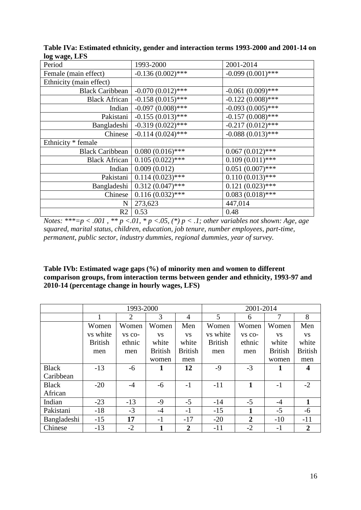| $\sigma$ $\sigma$ $\sigma$ |                     |                                  |
|----------------------------|---------------------|----------------------------------|
| Period                     | 1993-2000           | 2001-2014                        |
| Female (main effect)       | $-0.136(0.002)$ *** | $-0.099(0.001)$ ***              |
| Ethnicity (main effect)    |                     |                                  |
| <b>Black Caribbean</b>     | $-0.070(0.012)$ *** | $-0.061(0.009)$ ***              |
| <b>Black African</b>       | $-0.158(0.015)$ *** | $-0.122(0.008)$ ***              |
| Indian                     | $-0.097(0.008)$ *** | $-0.093(0.005)$ ***              |
| Pakistani                  | $-0.155(0.013)$ *** | $-0.157(0.008)$ ***              |
| Bangladeshi                | $-0.319(0.022)$ *** | $-0.217(0.012)$ ***              |
| Chinese                    | $-0.114(0.024)$ *** | $-0.088(0.013)$ ***              |
| Ethnicity * female         |                     |                                  |
| Black Caribbean            | $0.080(0.016)$ ***  | $0.067(0.012)$ ***               |
| Black African              | $0.105(0.022)$ ***  | $0.109(0.011)$ ***               |
| Indian                     | 0.009(0.012)        | $0.051(0.007)$ ***               |
| Pakistani                  | $0.114(0.023)$ ***  | $\overline{0.110}$ $(0.013)$ *** |
| Bangladeshi                | $0.312(0.047)$ ***  | $0.121(0.023)$ ***               |
| Chinese                    | $0.116(0.032)$ ***  | $0.083(0.018)$ ***               |
| N                          | 273,623             | 447,014                          |
| R <sub>2</sub>             | 0.53                | 0.48                             |

**Table IVa: Estimated ethnicity, gender and interaction terms 1993-2000 and 2001-14 on log wage, LFS** 

*Notes:* \*\*\*= $p < .001$ , \*\* $p < .01$ , \* $p < .05$ , (\*)  $p < .1$ ; other variables not shown: Age, age *squared, marital status, children, education, job tenure, number employees, part-time, permanent, public sector, industry dummies, regional dummies, year of survey.*

# **Table IVb: Estimated wage gaps (%) of minority men and women to different comparison groups, from interaction terms between gender and ethnicity, 1993-97 and 2010-14 (percentage change in hourly wages, LFS)**

|              | 1993-2000      |                     |                |                | 2001-2014      |                |                |                         |
|--------------|----------------|---------------------|----------------|----------------|----------------|----------------|----------------|-------------------------|
|              |                | 3<br>$\overline{2}$ |                | $\overline{4}$ | 5              | 6              | 7              | 8                       |
|              | Women          | Women               | Women          | Men            | Women          | Women          | Women          | Men                     |
|              | vs white       | VS CO-              | <b>VS</b>      | <b>VS</b>      | vs white       | VS CO-         | <b>VS</b>      | VS                      |
|              | <b>British</b> | ethnic              | white          | white          | <b>British</b> | ethnic         | white          | white                   |
|              | men            | men                 | <b>British</b> | <b>British</b> | men            | men            | <b>British</b> | <b>British</b>          |
|              |                |                     | women          | men            |                |                | women          | men                     |
| <b>Black</b> | $-13$          | $-6$                | 1              | 12             | $-9$           | $-3$           | 1              | $\overline{\mathbf{4}}$ |
| Caribbean    |                |                     |                |                |                |                |                |                         |
| <b>Black</b> | $-20$          | $-4$                | -6             | $-1$           | $-11$          | 1              | $-1$           | $-2$                    |
| African      |                |                     |                |                |                |                |                |                         |
| Indian       | $-23$          | $-13$               | $-9$           | $-5$           | $-14$          | $-5$           | $-4$           | 1                       |
| Pakistani    | $-18$          | $-3$                | $-4$           | $-1$           | $-15$          | $\mathbf{1}$   | $-5$           | $-6$                    |
| Bangladeshi  | $-15$          | 17                  | $-1$           | $-17$          | $-20$          | $\overline{2}$ | $-10$          | $-11$                   |
| Chinese      | $-13$          | $-2$                |                | $\overline{2}$ | $-11$          | $-2$           | $-1$           | $\overline{2}$          |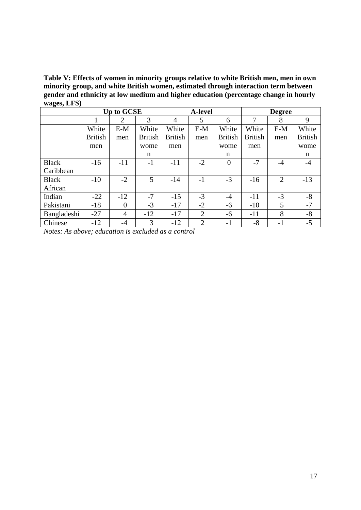**Table V: Effects of women in minority groups relative to white British men, men in own minority group, and white British women, estimated through interaction term between gender and ethnicity at low medium and higher education (percentage change in hourly wages, LFS)**

|              | Up to GCSE     |                |                | <b>A-level</b> |                |                | <b>Degree</b>  |                |                |
|--------------|----------------|----------------|----------------|----------------|----------------|----------------|----------------|----------------|----------------|
|              |                | 2              | $\mathcal{F}$  | 4              | 5.             | 6              | 7              | 8              | 9              |
|              | White          | $E-M$          | White          | White          | $E-M$          | White          | White          | $E-M$          | White          |
|              | <b>British</b> | men            | <b>British</b> | <b>British</b> | men            | <b>British</b> | <b>British</b> | men            | <b>British</b> |
|              | men            |                | wome           | men            |                | wome           | men            |                | wome           |
|              |                |                | n              |                |                | n              |                |                | n              |
| <b>Black</b> | $-16$          | $-11$          | $-1$           | $-11$          | $-2$           | $\overline{0}$ | $-7$           | $-4$           | -4             |
| Caribbean    |                |                |                |                |                |                |                |                |                |
| <b>Black</b> | $-10$          | $-2$           | 5              | $-14$          | $-1$           | $-3$           | $-16$          | $\overline{2}$ | $-13$          |
| African      |                |                |                |                |                |                |                |                |                |
| Indian       | $-22$          | $-12$          | $-7$           | $-15$          | $-3$           | $-4$           | $-11$          | $-3$           | $-8$           |
| Pakistani    | $-18$          | $\overline{0}$ | $-3$           | $-17$          | $-2$           | -6             | $-10$          | 5              | $-7$           |
| Bangladeshi  | $-27$          | $\overline{4}$ | $-12$          | $-17$          | $\overline{2}$ | -6             | $-11$          | 8              | $-8$           |
| Chinese      | $-12$          | $-4$           | 3              | $-12$          | $\overline{2}$ | $-1$           | $-8$           | $-1$           | $-5$           |

*Notes: As above; education is excluded as a control*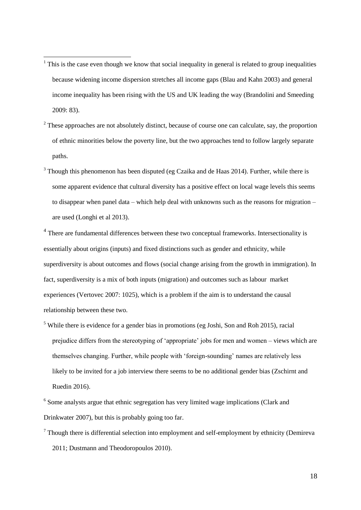$1$ . This is the case even though we know that social inequality in general is related to group inequalities because widening income dispersion stretches all income gaps (Blau and Kahn 2003) and general income inequality has been rising with the US and UK leading the way (Brandolini and Smeeding 2009: 83).

<u>.</u>

- $2^2$  These approaches are not absolutely distinct, because of course one can calculate, say, the proportion of ethnic minorities below the poverty line, but the two approaches tend to follow largely separate paths.
- $3$  Though this phenomenon has been disputed (eg Czaika and de Haas 2014). Further, while there is some apparent evidence that cultural diversity has a positive effect on local wage levels this seems to disappear when panel data – which help deal with unknowns such as the reasons for migration – are used (Longhi et al 2013).

<sup>4</sup> There are fundamental differences between these two conceptual frameworks. Intersectionality is essentially about origins (inputs) and fixed distinctions such as gender and ethnicity, while superdiversity is about outcomes and flows (social change arising from the growth in immigration). In fact, superdiversity is a mix of both inputs (migration) and outcomes such as labour market experiences (Vertovec 2007: 1025), which is a problem if the aim is to understand the causal relationship between these two.

- $<sup>5</sup>$  While there is evidence for a gender bias in promotions (eg Joshi, Son and Roh 2015), racial</sup> prejudice differs from the stereotyping of 'appropriate' jobs for men and women – views which are themselves changing. Further, while people with 'foreign-sounding' names are relatively less likely to be invited for a job interview there seems to be no additional gender bias (Zschirnt and Ruedin 2016).
- <sup>6</sup> Some analysts argue that ethnic segregation has very limited wage implications (Clark and Drinkwater 2007), but this is probably going too far.
- $7$  Though there is differential selection into employment and self-employment by ethnicity (Demireva 2011; Dustmann and Theodoropoulos 2010).